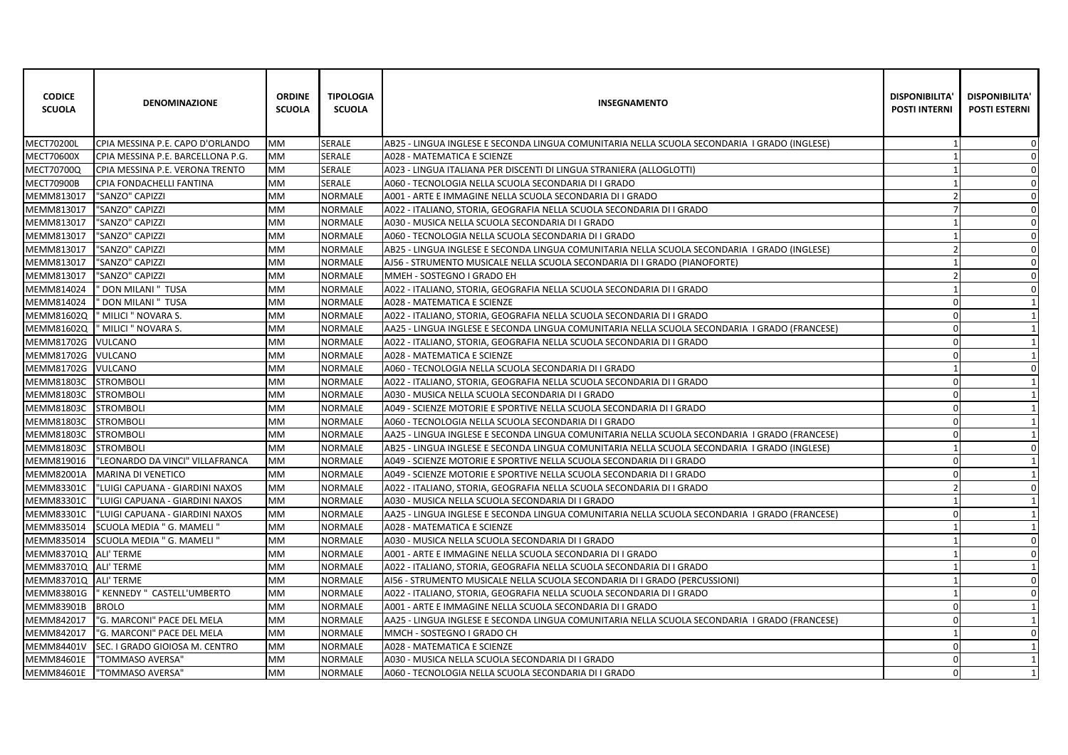| <b>CODICE</b><br><b>SCUOLA</b> | <b>DENOMINAZIONE</b>              | <b>ORDINE</b><br><b>SCUOLA</b> | <b>TIPOLOGIA</b><br><b>SCUOLA</b> | <b>INSEGNAMENTO</b>                                                                            | <b>DISPONIBILITA</b><br><b>POSTI INTERNI</b> | <b>DISPONIBILITA'</b><br><b>POSTI ESTERNI</b> |
|--------------------------------|-----------------------------------|--------------------------------|-----------------------------------|------------------------------------------------------------------------------------------------|----------------------------------------------|-----------------------------------------------|
| <b>MECT70200L</b>              | ICPIA MESSINA P.E. CAPO D'ORLANDO | <b>MM</b>                      | <b>SERALE</b>                     | AB25 - LINGUA INGLESE E SECONDA LINGUA COMUNITARIA NELLA SCUOLA SECONDARIA I GRADO (INGLESE)   |                                              | $\mathbf 0$                                   |
| <b>MECT70600X</b>              | CPIA MESSINA P.E. BARCELLONA P.G. | <b>MM</b>                      | <b>SERALE</b>                     | A028 - MATEMATICA E SCIENZE                                                                    |                                              | $\mathbf 0$                                   |
| MECT70700Q                     | CPIA MESSINA P.E. VERONA TRENTO   | MM                             | <b>SERALE</b>                     | A023 - LINGUA ITALIANA PER DISCENTI DI LINGUA STRANIERA (ALLOGLOTTI)                           |                                              | $\Omega$                                      |
| <b>MECT70900B</b>              | CPIA FONDACHELLI FANTINA          | MM                             | SERALE                            | A060 - TECNOLOGIA NELLA SCUOLA SECONDARIA DI I GRADO                                           |                                              | $\mathbf 0$                                   |
| MEMM813017                     | "SANZO" CAPIZZI                   | MM                             | <b>NORMALE</b>                    | A001 - ARTE E IMMAGINE NELLA SCUOLA SECONDARIA DI I GRADO                                      |                                              | $\Omega$                                      |
| MEMM813017                     | "SANZO" CAPIZZI                   | MM                             | <b>NORMALE</b>                    | A022 - ITALIANO, STORIA, GEOGRAFIA NELLA SCUOLA SECONDARIA DI I GRADO                          |                                              | $\Omega$                                      |
| MEMM813017                     | "SANZO" CAPIZZI                   | MM                             | <b>NORMALE</b>                    | A030 - MUSICA NELLA SCUOLA SECONDARIA DI I GRADO                                               |                                              | $\mathbf 0$                                   |
| MEMM813017                     | "SANZO" CAPIZZI                   | MM                             | <b>NORMALE</b>                    | A060 - TECNOLOGIA NELLA SCUOLA SECONDARIA DI I GRADO                                           |                                              | $\Omega$                                      |
| MEMM813017                     | "SANZO" CAPIZZI                   | МM                             | <b>NORMALE</b>                    | AB25 - LINGUA INGLESE E SECONDA LINGUA COMUNITARIA NELLA SCUOLA SECONDARIA I GRADO (INGLESE)   | $\mathcal{P}$                                | 0                                             |
| MEMM813017                     | "SANZO" CAPIZZI                   | MM                             | <b>NORMALE</b>                    | AJ56 - STRUMENTO MUSICALE NELLA SCUOLA SECONDARIA DI I GRADO (PIANOFORTE)                      |                                              | $\mathbf 0$                                   |
| MEMM813017                     | "SANZO" CAPIZZI                   | MM                             | <b>NORMALE</b>                    | MMEH - SOSTEGNO I GRADO EH                                                                     |                                              | $\mathbf 0$                                   |
| MEMM814024                     | ' DON MILANI " TUSA               | MM                             | <b>NORMALE</b>                    | A022 - ITALIANO, STORIA, GEOGRAFIA NELLA SCUOLA SECONDARIA DI I GRADO                          |                                              | $\Omega$                                      |
| MEMM814024                     | ' DON MILANI " TUSA               | МM                             | <b>NORMALE</b>                    | A028 - MATEMATICA E SCIENZE                                                                    | $\Omega$                                     |                                               |
| MEMM81602Q                     | ' MILICI " NOVARA S.              | МM                             | <b>NORMALE</b>                    | A022 - ITALIANO, STORIA, GEOGRAFIA NELLA SCUOLA SECONDARIA DI I GRADO                          | $\mathbf 0$                                  | $\mathbf 1$                                   |
| MEMM81602Q                     | " MILICI " NOVARA S.              | MM                             | <b>NORMALE</b>                    | AA25 - LINGUA INGLESE E SECONDA LINGUA COMUNITARIA NELLA SCUOLA SECONDARIA  I GRADO (FRANCESE) | $\mathbf 0$                                  | 1                                             |
| MEMM81702G                     | <b>VULCANO</b>                    | МM                             | <b>NORMALE</b>                    | A022 - ITALIANO, STORIA, GEOGRAFIA NELLA SCUOLA SECONDARIA DI I GRADO                          | $\Omega$                                     | $\mathbf{1}$                                  |
| MEMM81702G VULCANO             |                                   | МM                             | <b>NORMALE</b>                    | A028 - MATEMATICA E SCIENZE                                                                    | $\mathbf 0$                                  |                                               |
| MEMM81702G                     | <b>VULCANO</b>                    | MM                             | <b>NORMALE</b>                    | A060 - TECNOLOGIA NELLA SCUOLA SECONDARIA DI I GRADO                                           |                                              | 0                                             |
| MEMM81803C                     | <b>STROMBOLI</b>                  | MM                             | <b>NORMALE</b>                    | A022 - ITALIANO, STORIA, GEOGRAFIA NELLA SCUOLA SECONDARIA DI I GRADO                          | $\mathbf 0$                                  |                                               |
| MEMM81803C                     | <b>STROMBOLI</b>                  | MM                             | <b>NORMALE</b>                    | A030 - MUSICA NELLA SCUOLA SECONDARIA DI I GRADO                                               | $\Omega$                                     | $\overline{1}$                                |
| MEMM81803C                     | <b>STROMBOLI</b>                  | MM                             | <b>NORMALE</b>                    | A049 - SCIENZE MOTORIE E SPORTIVE NELLA SCUOLA SECONDARIA DI I GRADO                           | $\Omega$                                     |                                               |
| MEMM81803C                     | <b>STROMBOLI</b>                  | MM                             | <b>NORMALE</b>                    | A060 - TECNOLOGIA NELLA SCUOLA SECONDARIA DI I GRADO                                           | $\Omega$                                     |                                               |
| MEMM81803C                     | <b>STROMBOLI</b>                  | MM                             | <b>NORMALE</b>                    | AA25 - LINGUA INGLESE E SECONDA LINGUA COMUNITARIA NELLA SCUOLA SECONDARIA I GRADO (FRANCESE)  | $\Omega$                                     | $\mathbf{1}$                                  |
| <b>MEMM81803C</b>              | <b>STROMBOLI</b>                  | <b>MM</b>                      | <b>NORMALE</b>                    | AB25 - LINGUA INGLESE E SECONDA LINGUA COMUNITARIA NELLA SCUOLA SECONDARIA I GRADO (INGLESE)   |                                              | $\Omega$                                      |
| MEMM819016                     | "LEONARDO DA VINCI" VILLAFRANCA   | MM                             | <b>NORMALE</b>                    | A049 - SCIENZE MOTORIE E SPORTIVE NELLA SCUOLA SECONDARIA DI I GRADO                           | $\Omega$                                     |                                               |
| MEMM82001A                     | MARINA DI VENETICO                | MM                             | <b>NORMALE</b>                    | A049 - SCIENZE MOTORIE E SPORTIVE NELLA SCUOLA SECONDARIA DI I GRADO                           | $\Omega$                                     |                                               |
| <b>MEMM83301C</b>              | "LUIGI CAPUANA - GIARDINI NAXOS   | <b>MM</b>                      | <b>NORMALE</b>                    | A022 - ITALIANO, STORIA, GEOGRAFIA NELLA SCUOLA SECONDARIA DI I GRADO                          |                                              | $\Omega$                                      |
| MEMM83301C                     | "LUIGI CAPUANA - GIARDINI NAXOS   | MM                             | <b>NORMALE</b>                    | A030 - MUSICA NELLA SCUOLA SECONDARIA DI I GRADO                                               |                                              | 1                                             |
| <b>MEMM83301C</b>              | "LUIGI CAPUANA - GIARDINI NAXOS   | MM                             | <b>NORMALE</b>                    | AA25 - LINGUA INGLESE E SECONDA LINGUA COMUNITARIA NELLA SCUOLA SECONDARIA I GRADO (FRANCESE)  | $\Omega$                                     |                                               |
| MEMM835014                     | SCUOLA MEDIA " G. MAMELI "        | MM                             | <b>NORMALE</b>                    | A028 - MATEMATICA E SCIENZE                                                                    |                                              |                                               |
| MEMM835014                     | SCUOLA MEDIA " G. MAMELI "        | MM                             | <b>NORMALE</b>                    | A030 - MUSICA NELLA SCUOLA SECONDARIA DI I GRADO                                               |                                              | $\Omega$                                      |
| MEMM83701Q ALI' TERME          |                                   | MM                             | <b>NORMALE</b>                    | A001 - ARTE E IMMAGINE NELLA SCUOLA SECONDARIA DI I GRADO                                      |                                              | $\mathbf 0$                                   |
| MEMM83701Q ALI' TERME          |                                   | MM                             | <b>NORMALE</b>                    | A022 - ITALIANO, STORIA, GEOGRAFIA NELLA SCUOLA SECONDARIA DI I GRADO                          |                                              |                                               |
| MEMM83701Q                     | <b>ALI' TERME</b>                 | MM                             | <b>NORMALE</b>                    | AI56 - STRUMENTO MUSICALE NELLA SCUOLA SECONDARIA DI I GRADO (PERCUSSIONI)                     |                                              | 0                                             |
| MEMM83801G                     | " KENNEDY " CASTELL'UMBERTO       | MM                             | <b>NORMALE</b>                    | A022 - ITALIANO, STORIA, GEOGRAFIA NELLA SCUOLA SECONDARIA DI I GRADO                          |                                              | $\Omega$                                      |
| MEMM83901B                     | <b>BROLO</b>                      | MM                             | <b>NORMALE</b>                    | A001 - ARTE E IMMAGINE NELLA SCUOLA SECONDARIA DI I GRADO                                      | $\Omega$                                     | 1                                             |
| MEMM842017                     | "G. MARCONI" PACE DEL MELA        | МM                             | <b>NORMALE</b>                    | AA25 - LINGUA INGLESE E SECONDA LINGUA COMUNITARIA NELLA SCUOLA SECONDARIA I GRADO (FRANCESE)  | $\Omega$                                     |                                               |
| MEMM842017                     | "G. MARCONI" PACE DEL MELA        | MM                             | <b>NORMALE</b>                    | MMCH - SOSTEGNO I GRADO CH                                                                     |                                              | 0                                             |
| MEMM84401V                     | SEC. I GRADO GIOIOSA M. CENTRO    | МM                             | <b>NORMALE</b>                    | A028 - MATEMATICA E SCIENZE                                                                    | $\Omega$                                     | $\mathbf 1$                                   |
| MEMM84601E                     | "TOMMASO AVERSA"                  | МM                             | <b>NORMALE</b>                    | A030 - MUSICA NELLA SCUOLA SECONDARIA DI I GRADO                                               | $\Omega$                                     | $\mathbf 1$                                   |
| <b>MEMM84601E</b>              | "TOMMASO AVERSA"                  | <b>MM</b>                      | <b>NORMALE</b>                    | A060 - TECNOLOGIA NELLA SCUOLA SECONDARIA DI I GRADO                                           | $\Omega$                                     | 1                                             |